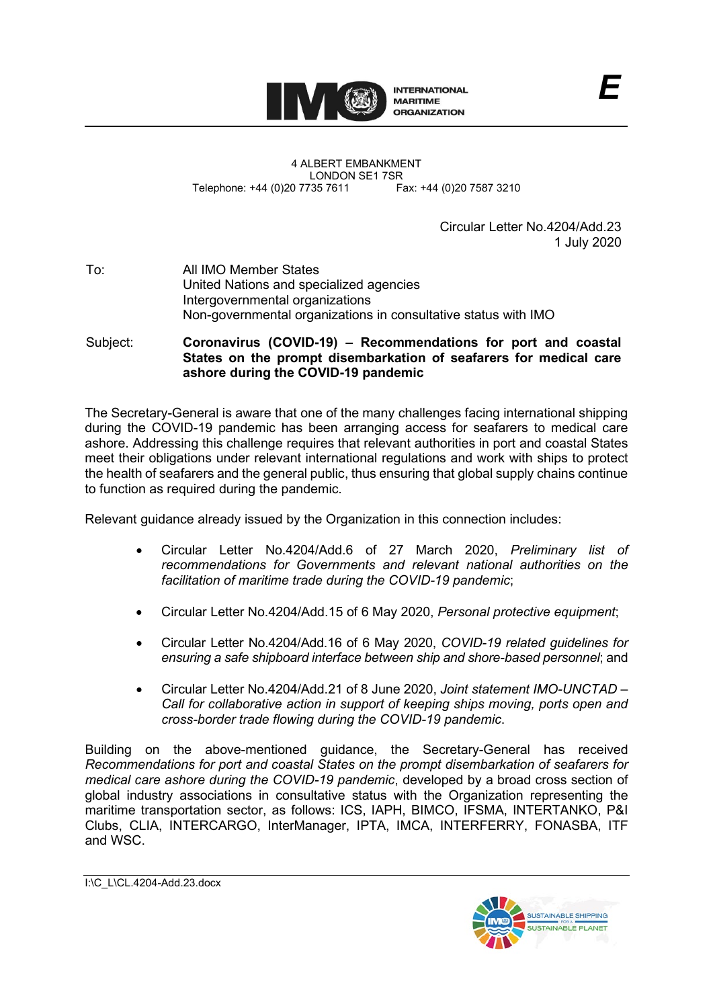

4 ALBERT EMBANKMENT LONDON SE1 7SR<br>735 7611 Fax: +44 (0)20 7587 3210 Telephone: +44 (0)20 7735 7611

> Circular Letter No.4204/Add.23 1 July 2020

## To: All IMO Member States United Nations and specialized agencies Intergovernmental organizations Non-governmental organizations in consultative status with IMO

Subject: **Coronavirus (COVID-19) – Recommendations for port and coastal States on the prompt disembarkation of seafarers for medical care ashore during the COVID-19 pandemic**

The Secretary-General is aware that one of the many challenges facing international shipping during the COVID-19 pandemic has been arranging access for seafarers to medical care ashore. Addressing this challenge requires that relevant authorities in port and coastal States meet their obligations under relevant international regulations and work with ships to protect the health of seafarers and the general public, thus ensuring that global supply chains continue to function as required during the pandemic.

Relevant guidance already issued by the Organization in this connection includes:

- Circular Letter No.4204/Add.6 of 27 March 2020, *Preliminary list of recommendations for Governments and relevant national authorities on the facilitation of maritime trade during the COVID-19 pandemic*;
- Circular Letter No.4204/Add.15 of 6 May 2020, *Personal protective equipment*;
- Circular Letter No.4204/Add.16 of 6 May 2020, *COVID-19 related guidelines for ensuring a safe shipboard interface between ship and shore-based personnel*; and
- Circular Letter No.4204/Add.21 of 8 June 2020, *Joint statement IMO-UNCTAD – Call for collaborative action in support of keeping ships moving, ports open and cross-border trade flowing during the COVID-19 pandemic*.

Building on the above-mentioned guidance, the Secretary-General has received *Recommendations for port and coastal States on the prompt disembarkation of seafarers for medical care ashore during the COVID-19 pandemic*, developed by a broad cross section of global industry associations in consultative status with the Organization representing the maritime transportation sector, as follows: ICS, IAPH, BIMCO, IFSMA, INTERTANKO, P&I Clubs, CLIA, INTERCARGO, InterManager, IPTA, IMCA, INTERFERRY, FONASBA, ITF and WSC.

I:\C\_L\CL.4204-Add.23.docx

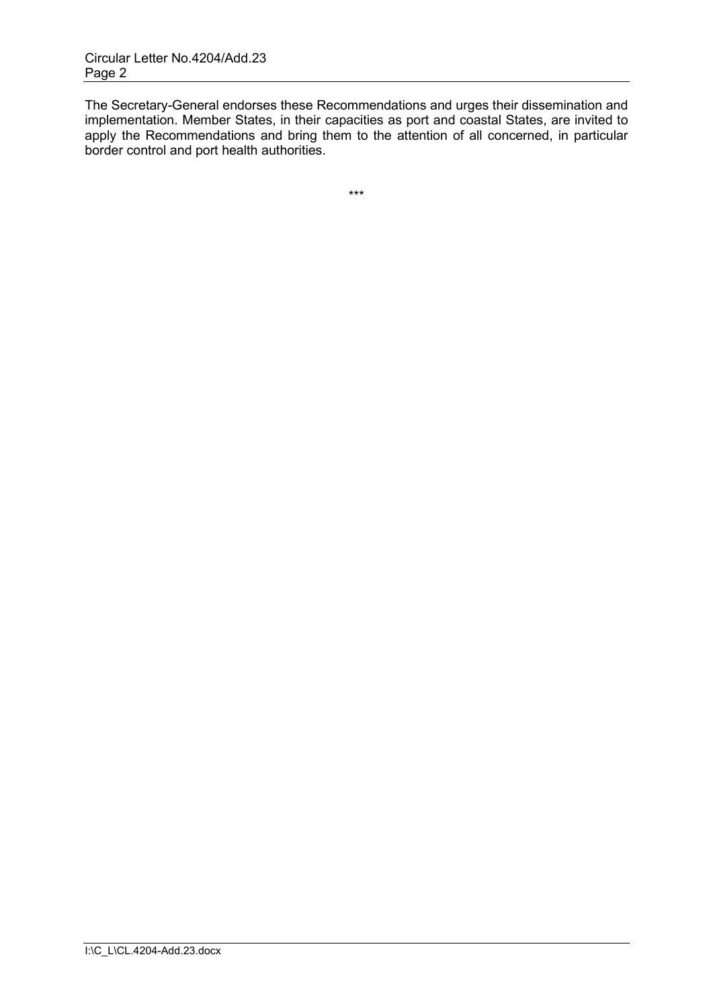The Secretary-General endorses these Recommendations and urges their dissemination and implementation. Member States, in their capacities as port and coastal States, are invited to apply the Recommendations and bring them to the attention of all concerned, in particular border control and port health authorities.

\*\*\*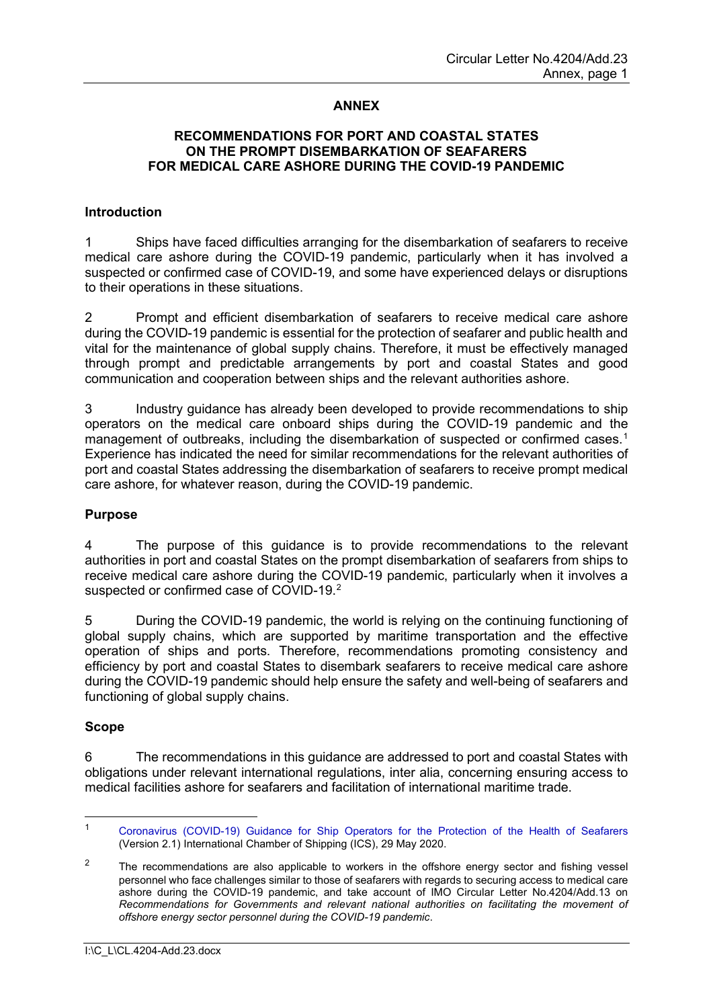# **ANNEX**

# **RECOMMENDATIONS FOR PORT AND COASTAL STATES ON THE PROMPT DISEMBARKATION OF SEAFARERS FOR MEDICAL CARE ASHORE DURING THE COVID-19 PANDEMIC**

#### **Introduction**

1 Ships have faced difficulties arranging for the disembarkation of seafarers to receive medical care ashore during the COVID-19 pandemic, particularly when it has involved a suspected or confirmed case of COVID-19, and some have experienced delays or disruptions to their operations in these situations.

2 Prompt and efficient disembarkation of seafarers to receive medical care ashore during the COVID-19 pandemic is essential for the protection of seafarer and public health and vital for the maintenance of global supply chains. Therefore, it must be effectively managed through prompt and predictable arrangements by port and coastal States and good communication and cooperation between ships and the relevant authorities ashore.

3 Industry guidance has already been developed to provide recommendations to ship operators on the medical care onboard ships during the COVID-19 pandemic and the management of outbreaks, including the disembarkation of suspected or confirmed cases. [1](#page-2-0) Experience has indicated the need for similar recommendations for the relevant authorities of port and coastal States addressing the disembarkation of seafarers to receive prompt medical care ashore, for whatever reason, during the COVID-19 pandemic.

#### **Purpose**

4 The purpose of this guidance is to provide recommendations to the relevant authorities in port and coastal States on the prompt disembarkation of seafarers from ships to receive medical care ashore during the COVID-19 pandemic, particularly when it involves a suspected or confirmed case of COVID-19.<sup>[2](#page-2-1)</sup>

5 During the COVID-19 pandemic, the world is relying on the continuing functioning of global supply chains, which are supported by maritime transportation and the effective operation of ships and ports. Therefore, recommendations promoting consistency and efficiency by port and coastal States to disembark seafarers to receive medical care ashore during the COVID-19 pandemic should help ensure the safety and well-being of seafarers and functioning of global supply chains.

#### **Scope**

6 The recommendations in this guidance are addressed to port and coastal States with obligations under relevant international regulations, inter alia, concerning ensuring access to medical facilities ashore for seafarers and facilitation of international maritime trade.

<span id="page-2-0"></span><sup>1</sup> [Coronavirus \(COVID-19\) Guidance for Ship Operators for the Protection of the Health of Seafarers](https://www.ics-shipping.org/docs/default-source/resources/covid-19-guidance-for-ship-operators-for-the-protection-of-the-health-of-seafarers-v2.pdf?sfvrsn=4) (Version 2.1) International Chamber of Shipping (ICS), 29 May 2020.

<span id="page-2-1"></span><sup>&</sup>lt;sup>2</sup> The recommendations are also applicable to workers in the offshore energy sector and fishing vessel personnel who face challenges similar to those of seafarers with regards to securing access to medical care ashore during the COVID-19 pandemic, and take account of IMO Circular Letter No.4204/Add.13 on *Recommendations for Governments and relevant national authorities on facilitating the movement of offshore energy sector personnel during the COVID-19 pandemic*.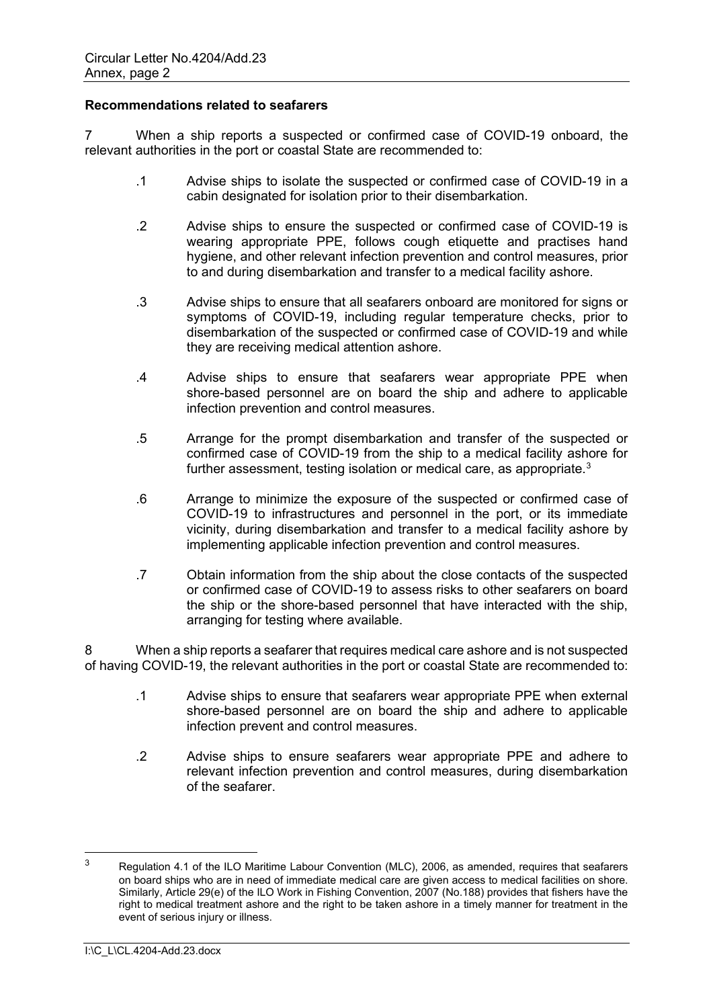### **Recommendations related to seafarers**

7 When a ship reports a suspected or confirmed case of COVID-19 onboard, the relevant authorities in the port or coastal State are recommended to:

- .1 Advise ships to isolate the suspected or confirmed case of COVID-19 in a cabin designated for isolation prior to their disembarkation.
- .2 Advise ships to ensure the suspected or confirmed case of COVID-19 is wearing appropriate PPE, follows cough etiquette and practises hand hygiene, and other relevant infection prevention and control measures, prior to and during disembarkation and transfer to a medical facility ashore.
- .3 Advise ships to ensure that all seafarers onboard are monitored for signs or symptoms of COVID-19, including regular temperature checks, prior to disembarkation of the suspected or confirmed case of COVID-19 and while they are receiving medical attention ashore.
- .4 Advise ships to ensure that seafarers wear appropriate PPE when shore-based personnel are on board the ship and adhere to applicable infection prevention and control measures.
- .5 Arrange for the prompt disembarkation and transfer of the suspected or confirmed case of COVID-19 from the ship to a medical facility ashore for further assessment, testing isolation or medical care, as appropriate. $^3$  $^3$
- .6 Arrange to minimize the exposure of the suspected or confirmed case of COVID-19 to infrastructures and personnel in the port, or its immediate vicinity, during disembarkation and transfer to a medical facility ashore by implementing applicable infection prevention and control measures.
- .7 Obtain information from the ship about the close contacts of the suspected or confirmed case of COVID-19 to assess risks to other seafarers on board the ship or the shore-based personnel that have interacted with the ship, arranging for testing where available.

8 When a ship reports a seafarer that requires medical care ashore and is not suspected of having COVID-19, the relevant authorities in the port or coastal State are recommended to:

- .1 Advise ships to ensure that seafarers wear appropriate PPE when external shore-based personnel are on board the ship and adhere to applicable infection prevent and control measures.
- .2 Advise ships to ensure seafarers wear appropriate PPE and adhere to relevant infection prevention and control measures, during disembarkation of the seafarer.

<span id="page-3-0"></span><sup>&</sup>lt;sup>3</sup> Regulation 4.1 of the ILO Maritime Labour Convention (MLC), 2006, as amended, requires that seafarers on board ships who are in need of immediate medical care are given access to medical facilities on shore. Similarly, Article 29(e) of the ILO Work in Fishing Convention, 2007 (No.188) provides that fishers have the right to medical treatment ashore and the right to be taken ashore in a timely manner for treatment in the event of serious injury or illness.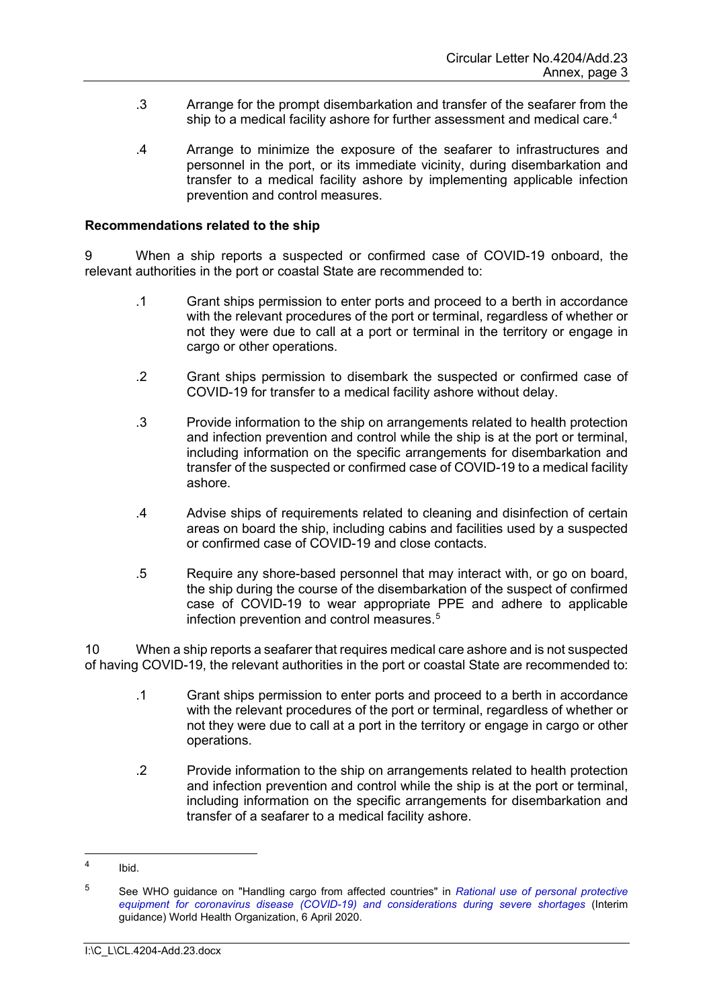- .3 Arrange for the prompt disembarkation and transfer of the seafarer from the ship to a medical facility ashore for further assessment and medical care. [4](#page-4-0)
- .4 Arrange to minimize the exposure of the seafarer to infrastructures and personnel in the port, or its immediate vicinity, during disembarkation and transfer to a medical facility ashore by implementing applicable infection prevention and control measures.

#### **Recommendations related to the ship**

9 When a ship reports a suspected or confirmed case of COVID-19 onboard, the relevant authorities in the port or coastal State are recommended to:

- .1 Grant ships permission to enter ports and proceed to a berth in accordance with the relevant procedures of the port or terminal, regardless of whether or not they were due to call at a port or terminal in the territory or engage in cargo or other operations.
- .2 Grant ships permission to disembark the suspected or confirmed case of COVID-19 for transfer to a medical facility ashore without delay.
- .3 Provide information to the ship on arrangements related to health protection and infection prevention and control while the ship is at the port or terminal, including information on the specific arrangements for disembarkation and transfer of the suspected or confirmed case of COVID-19 to a medical facility ashore.
- .4 Advise ships of requirements related to cleaning and disinfection of certain areas on board the ship, including cabins and facilities used by a suspected or confirmed case of COVID-19 and close contacts.
- .5 Require any shore-based personnel that may interact with, or go on board, the ship during the course of the disembarkation of the suspect of confirmed case of COVID-19 to wear appropriate PPE and adhere to applicable infection prevention and control measures. [5](#page-4-1)

10 When a ship reports a seafarer that requires medical care ashore and is not suspected of having COVID-19, the relevant authorities in the port or coastal State are recommended to:

- .1 Grant ships permission to enter ports and proceed to a berth in accordance with the relevant procedures of the port or terminal, regardless of whether or not they were due to call at a port in the territory or engage in cargo or other operations.
- .2 Provide information to the ship on arrangements related to health protection and infection prevention and control while the ship is at the port or terminal, including information on the specific arrangements for disembarkation and transfer of a seafarer to a medical facility ashore.

<span id="page-4-0"></span> $4$  Ibid.

<span id="page-4-1"></span><sup>&</sup>lt;sup>5</sup> See WHO guidance on "Handling cargo from affected countries" in *Rational use of personal protective [equipment for coronavirus disease \(COVID-19\) and considerations during severe shortages](https://apps.who.int/iris/bitstream/handle/10665/331695/WHO-2019-nCov-IPC_PPE_use-2020.3-eng.pdf)* (Interim guidance) World Health Organization, 6 April 2020.